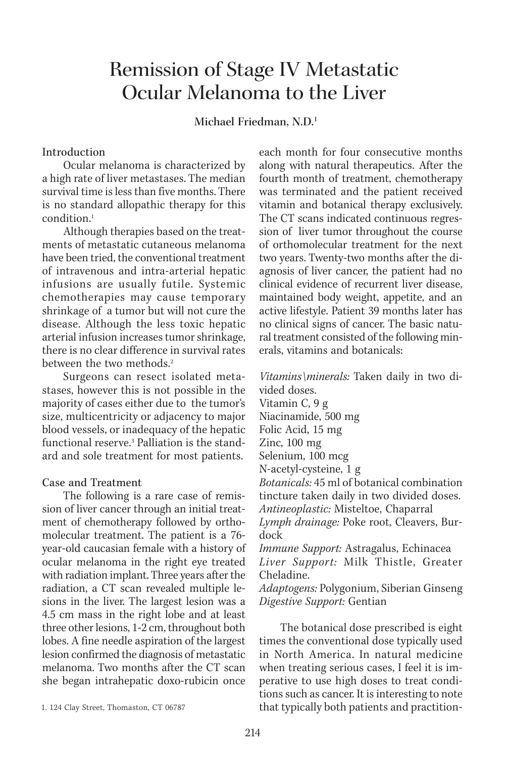# Remission of Stage IV Metastatic Ocular Melanoma to the Liver

**Michael Friedman, N.D.1**

## Introduction

Ocular melanoma is characterized by a high rate of liver metastases. The median survival time is less than five months. There is no standard allopathic therapy for this condition.<sup>1</sup>

Although therapies based on the treatments of metastatic cutaneous melanoma have been tried, the conventional treatment of intravenous and intra-arterial hepatic infusions are usually futile. Systemic chemotherapies may cause temporary shrinkage of a tumor but will not cure the disease. Although the less toxic hepatic arterial infusion increases tumor shrinkage, there is no clear difference in survival rates between the two methods.<sup>2</sup>

Surgeons can resect isolated metastases, however this is not possible in the majority of cases either due to the tumor's size, multicentricity or adjacency to major blood vessels, or inadequacy of the hepatic functional reserve.3 Palliation is the standard and sole treatment for most patients.

#### Case and Treatment

The following is a rare case of remission of liver cancer through an initial treatment of chemotherapy followed by orthomolecular treatment. The patient is a 76 year-old caucasian female with a history of ocular melanoma in the right eye treated with radiation implant. Three years after the radiation, a CT scan revealed multiple lesions in the liver. The largest lesion was a 4.5 cm mass in the right lobe and at least three other lesions, 1-2 cm, throughout both lobes. A fine needle aspiration of the largest lesion confirmed the diagnosis of metastatic melanoma. Two months after the CT scan she began intrahepatic doxo-rubicin once

each month for four consecutive months along with natural therapeutics. After the fourth month of treatment, chemotherapy was terminated and the patient received vitamin and botanical therapy exclusively. The CT scans indicated continuous regression of liver tumor throughout the course of orthomolecular treatment for the next two years. Twenty-two months after the diagnosis of liver cancer, the patient had no clinical evidence of recurrent liver disease, maintained body weight, appetite, and an active lifestyle. Patient 39 months later has no clinical signs of cancer. The basic natural treatment consisted of the following minerals, vitamins and botanicals:

*Vitamins\minerals:* Taken daily in two divided doses. Vitamin C, 9 g Niacinamide, 500 mg Folic Acid, 15 mg Zinc, 100 mg Selenium, 100 mcg N-acetyl-cysteine, 1 g *Botanicals:* 45 ml of botanical combination tincture taken daily in two divided doses. *Antineoplastic:* Misteltoe, Chaparral *Lymph drainage:* Poke root, Cleavers, Burdock *Immune Support:* Astragalus, Echinacea *Liver Support:* Milk Thistle, Greater Cheladine.

*Adaptogens:* Polygonium, Siberian Ginseng *Digestive Support:* Gentian

The botanical dose prescribed is eight times the conventional dose typically used in North America. In natural medicine when treating serious cases, I feel it is imperative to use high doses to treat conditions such as cancer. It is interesting to note that typically both patients and practition-

<sup>1. 124</sup> Clay Street, Thomaston, CT 06787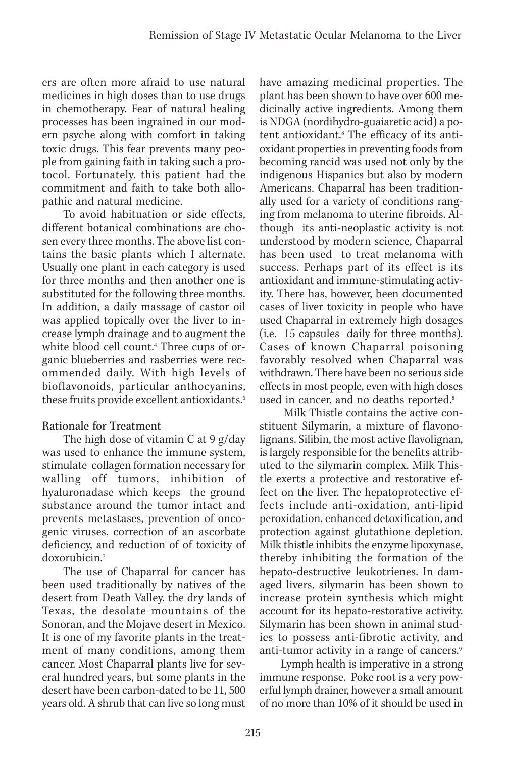ers are often more afraid to use natural medicines in high doses than to use drugs in chemotherapy. Fear of natural healing processes has been ingrained in our modern psyche along with comfort in taking toxic drugs. This fear prevents many people from gaining faith in taking such a protocol. Fortunately, this patient had the commitment and faith to take both allopathic and natural medicine.

To avoid habituation or side effects, different botanical combinations are chosen every three months. The above list contains the basic plants which I alternate. Usually one plant in each category is used for three months and then another one is substituted for the following three months. In addition, a daily massage of castor oil was applied topically over the liver to increase lymph drainage and to augment the white blood cell count.4 Three cups of organic blueberries and rasberries were recommended daily. With high levels of bioflavonoids, particular anthocyanins, these fruits provide excellent antioxidants.<sup>5</sup>

# Rationale for Treatment

The high dose of vitamin C at 9 g/day was used to enhance the immune system, stimulate collagen formation necessary for walling off tumors, inhibition of hyaluronadase which keeps the ground substance around the tumor intact and prevents metastases, prevention of oncogenic viruses, correction of an ascorbate deficiency, and reduction of of toxicity of doxorubicin.7

The use of Chaparral for cancer has been used traditionally by natives of the desert from Death Valley, the dry lands of Texas, the desolate mountains of the Sonoran, and the Mojave desert in Mexico. It is one of my favorite plants in the treatment of many conditions, among them cancer. Most Chaparral plants live for several hundred years, but some plants in the desert have been carbon-dated to be 11, 500 years old. A shrub that can live so long must

have amazing medicinal properties. The plant has been shown to have over 600 medicinally active ingredients. Among them is NDGA (nordihydro-guaiaretic acid) a potent antioxidant.<sup>8</sup> The efficacy of its antioxidant properties in preventing foods from becoming rancid was used not only by the indigenous Hispanics but also by modern Americans. Chaparral has been traditionally used for a variety of conditions ranging from melanoma to uterine fibroids. Although its anti-neoplastic activity is not understood by modern science, Chaparral has been used to treat melanoma with success. Perhaps part of its effect is its antioxidant and immune-stimulating activity. There has, however, been documented cases of liver toxicity in people who have used Chaparral in extremely high dosages (i.e. 15 capsules daily for three months). Cases of known Chaparral poisoning favorably resolved when Chaparral was withdrawn. There have been no serious side effects in most people, even with high doses used in cancer, and no deaths reported.<sup>8</sup>

 Milk Thistle contains the active constituent Silymarin, a mixture of flavonolignans. Silibin, the most active flavolignan, is largely responsible for the benefits attributed to the silymarin complex. Milk Thistle exerts a protective and restorative effect on the liver. The hepatoprotective effects include anti-oxidation, anti-lipid peroxidation, enhanced detoxification, and protection against glutathione depletion. Milk thistle inhibits the enzyme lipoxynase, thereby inhibiting the formation of the hepato-destructive leukotrienes. In damaged livers, silymarin has been shown to increase protein synthesis which might account for its hepato-restorative activity. Silymarin has been shown in animal studies to possess anti-fibrotic activity, and anti-tumor activity in a range of cancers.<sup>9</sup>

Lymph health is imperative in a strong immune response. Poke root is a very powerful lymph drainer, however a small amount of no more than 10% of it should be used in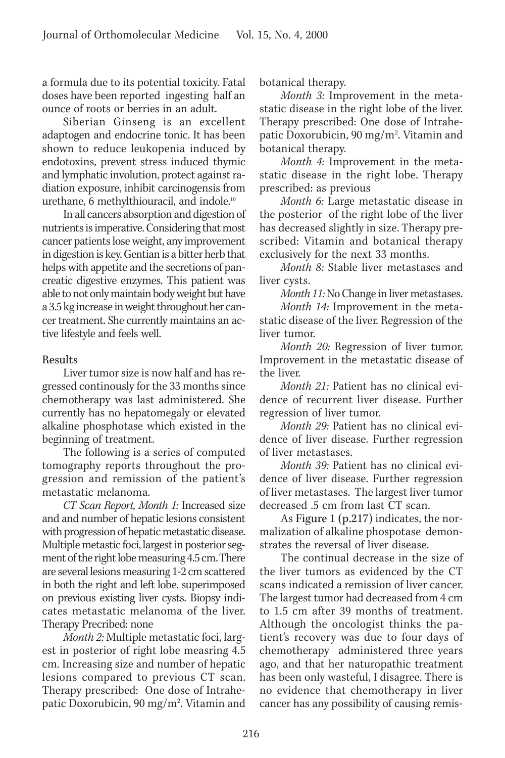a formula due to its potential toxicity. Fatal doses have been reported ingesting half an ounce of roots or berries in an adult.

Siberian Ginseng is an excellent adaptogen and endocrine tonic. It has been shown to reduce leukopenia induced by endotoxins, prevent stress induced thymic and lymphatic involution, protect against radiation exposure, inhibit carcinogensis from urethane, 6 methylthiouracil, and indole.10

In all cancers absorption and digestion of nutrients is imperative. Considering that most cancer patients lose weight, any improvement in digestion is key. Gentian is a bitter herb that helps with appetite and the secretions of pancreatic digestive enzymes. This patient was able to not only maintain body weight but have a 3.5 kg increase in weight throughout her cancer treatment. She currently maintains an active lifestyle and feels well.

# Results

Liver tumor size is now half and has regressed continously for the 33 months since chemotherapy was last administered. She currently has no hepatomegaly or elevated alkaline phosphotase which existed in the beginning of treatment.

The following is a series of computed tomography reports throughout the progression and remission of the patient's metastatic melanoma.

*CT Scan Report, Month 1:* Increased size and and number of hepatic lesions consistent with progression of hepatic metastatic disease. Multiple metastic foci, largest in posterior segment of the right lobe measuring 4.5 cm. There are several lesions measuring 1-2 cm scattered in both the right and left lobe, superimposed on previous existing liver cysts. Biopsy indicates metastatic melanoma of the liver. Therapy Precribed: none

*Month 2:* Multiple metastatic foci, largest in posterior of right lobe measring 4.5 cm. Increasing size and number of hepatic lesions compared to previous CT scan. Therapy prescribed: One dose of Intrahepatic Doxorubicin, 90 mg/m². Vitamin and botanical therapy.

*Month 3:* Improvement in the metastatic disease in the right lobe of the liver. Therapy prescribed: One dose of Intrahepatic Doxorubicin, 90 mg/m<sup>2</sup>. Vitamin and botanical therapy.

*Month 4:* Improvement in the metastatic disease in the right lobe. Therapy prescribed: as previous

*Month 6:* Large metastatic disease in the posterior of the right lobe of the liver has decreased slightly in size. Therapy prescribed: Vitamin and botanical therapy exclusively for the next 33 months.

*Month 8:* Stable liver metastases and liver cysts.

*Month 11:* No Change in liver metastases.

*Month 14:* Improvement in the metastatic disease of the liver. Regression of the liver tumor.

*Month 20:* Regression of liver tumor. Improvement in the metastatic disease of the liver.

*Month 21:* Patient has no clinical evidence of recurrent liver disease. Further regression of liver tumor.

*Month 29:* Patient has no clinical evidence of liver disease. Further regression of liver metastases.

*Month 39:* Patient has no clinical evidence of liver disease. Further regression of liver metastases. The largest liver tumor decreased .5 cm from last CT scan.

As Figure 1 (p.217) indicates, the normalization of alkaline phospotase demonstrates the reversal of liver disease.

The continual decrease in the size of the liver tumors as evidenced by the CT scans indicated a remission of liver cancer. The largest tumor had decreased from 4 cm to 1.5 cm after 39 months of treatment. Although the oncologist thinks the patient's recovery was due to four days of chemotherapy administered three years ago, and that her naturopathic treatment has been only wasteful, I disagree. There is no evidence that chemotherapy in liver cancer has any possibility of causing remis